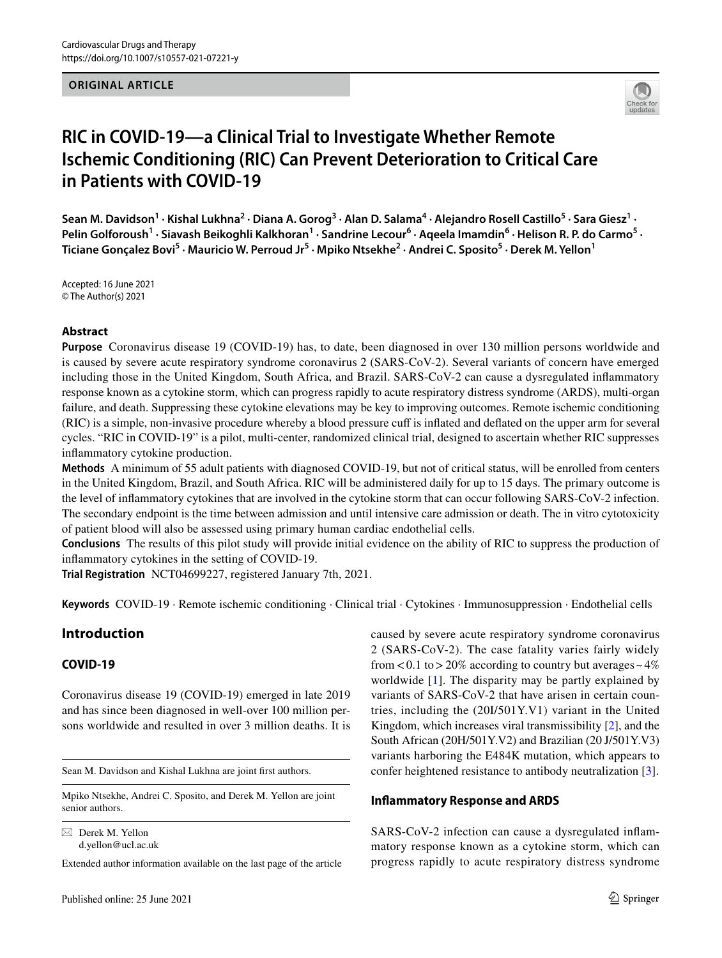#### **ORIGINAL ARTICLE**



# **RIC in COVID‑19—a Clinical Trial to Investigate Whether Remote Ischemic Conditioning (RIC) Can Prevent Deterioration to Critical Care in Patients with COVID‑19**

Sean M. Davidson<sup>1</sup> · Kishal Lukhna<sup>2</sup> · Diana A. Gorog<sup>3</sup> · Alan D. Salama<sup>4</sup> · Alejandro Rosell Castillo<sup>5</sup> · Sara Giesz<sup>1</sup> · Pelin Golforoush<sup>1</sup> · Siavash Beikoghli Kalkhoran<sup>1</sup> · Sandrine Lecour<sup>6</sup> · Aqeela Imamdin<sup>6</sup> · Helison R. P. do Carmo<sup>5</sup> · **Ticiane Gonçalez Bovi5 · Mauricio W. Perroud Jr5 · Mpiko Ntsekhe2 · Andrei C. Sposito5 · Derek M. Yellon1**

Accepted: 16 June 2021 © The Author(s) 2021

#### **Abstract**

**Purpose** Coronavirus disease 19 (COVID-19) has, to date, been diagnosed in over 130 million persons worldwide and is caused by severe acute respiratory syndrome coronavirus 2 (SARS-CoV-2). Several variants of concern have emerged including those in the United Kingdom, South Africa, and Brazil. SARS-CoV-2 can cause a dysregulated infammatory response known as a cytokine storm, which can progress rapidly to acute respiratory distress syndrome (ARDS), multi-organ failure, and death. Suppressing these cytokine elevations may be key to improving outcomes. Remote ischemic conditioning (RIC) is a simple, non-invasive procedure whereby a blood pressure cuf is infated and defated on the upper arm for several cycles. "RIC in COVID-19" is a pilot, multi-center, randomized clinical trial, designed to ascertain whether RIC suppresses infammatory cytokine production.

**Methods** A minimum of 55 adult patients with diagnosed COVID-19, but not of critical status, will be enrolled from centers in the United Kingdom, Brazil, and South Africa. RIC will be administered daily for up to 15 days. The primary outcome is the level of infammatory cytokines that are involved in the cytokine storm that can occur following SARS-CoV-2 infection. The secondary endpoint is the time between admission and until intensive care admission or death. The in vitro cytotoxicity of patient blood will also be assessed using primary human cardiac endothelial cells.

**Conclusions** The results of this pilot study will provide initial evidence on the ability of RIC to suppress the production of infammatory cytokines in the setting of COVID-19.

**Trial Registration** NCT04699227, registered January 7th, 2021.

**Keywords** COVID-19 · Remote ischemic conditioning · Clinical trial · Cytokines · Immunosuppression · Endothelial cells

# **Introduction**

### **COVID‑19**

Coronavirus disease 19 (COVID-19) emerged in late 2019 and has since been diagnosed in well-over 100 million persons worldwide and resulted in over 3 million deaths. It is

Sean M. Davidson and Kishal Lukhna are joint frst authors.

Mpiko Ntsekhe, Andrei C. Sposito, and Derek M. Yellon are joint senior authors.

 $\boxtimes$  Derek M. Yellon d.yellon@ucl.ac.uk

Extended author information available on the last page of the article

caused by severe acute respiratory syndrome coronavirus 2 (SARS-CoV-2). The case fatality varies fairly widely from  $< 0.1$  to  $> 20\%$  according to country but averages  $\sim 4\%$ worldwide [[1\]](#page-4-0). The disparity may be partly explained by variants of SARS-CoV-2 that have arisen in certain countries, including the (20I/501Y.V1) variant in the United Kingdom, which increases viral transmissibility [\[2](#page-4-1)], and the South African (20H/501Y.V2) and Brazilian (20 J/501Y.V3) variants harboring the E484K mutation, which appears to confer heightened resistance to antibody neutralization [[3\]](#page-4-2).

### **Infammatory Response and ARDS**

SARS-CoV-2 infection can cause a dysregulated infammatory response known as a cytokine storm, which can progress rapidly to acute respiratory distress syndrome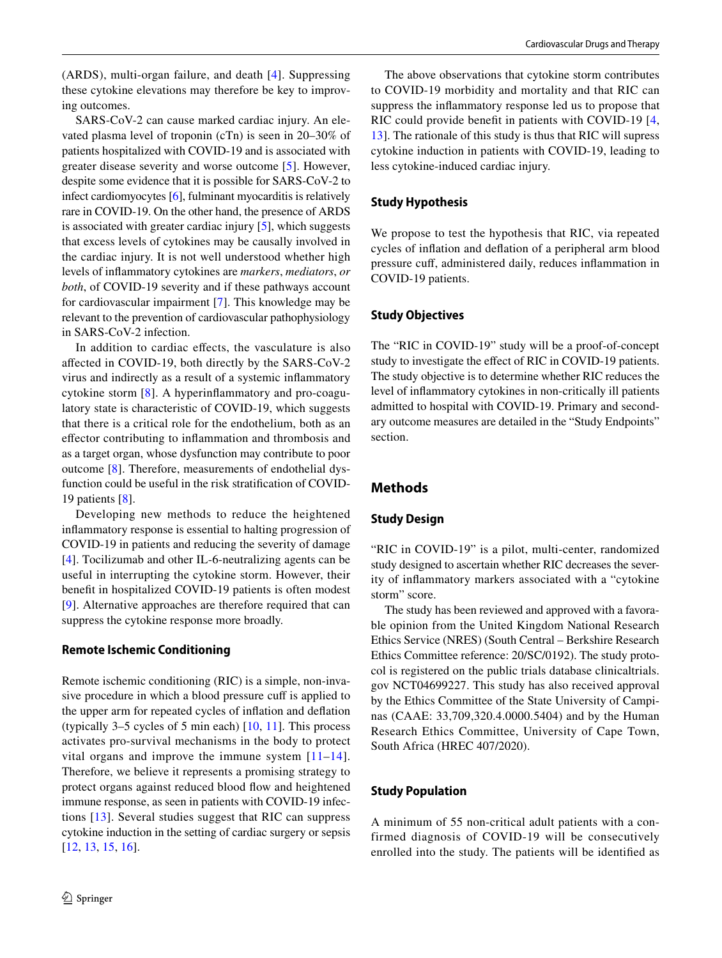(ARDS), multi-organ failure, and death [[4](#page-4-3)]. Suppressing these cytokine elevations may therefore be key to improving outcomes.

SARS-CoV-2 can cause marked cardiac injury. An elevated plasma level of troponin (cTn) is seen in 20–30% of patients hospitalized with COVID-19 and is associated with greater disease severity and worse outcome [\[5](#page-4-4)]. However, despite some evidence that it is possible for SARS-CoV-2 to infect cardiomyocytes [\[6](#page-4-5)], fulminant myocarditis is relatively rare in COVID-19. On the other hand, the presence of ARDS is associated with greater cardiac injury [\[5](#page-4-4)], which suggests that excess levels of cytokines may be causally involved in the cardiac injury. It is not well understood whether high levels of infammatory cytokines are *markers*, *mediators*, *or both*, of COVID-19 severity and if these pathways account for cardiovascular impairment [\[7](#page-4-6)]. This knowledge may be relevant to the prevention of cardiovascular pathophysiology in SARS-CoV-2 infection.

In addition to cardiac efects, the vasculature is also afected in COVID-19, both directly by the SARS-CoV-2 virus and indirectly as a result of a systemic infammatory cytokine storm [[8\]](#page-4-7). A hyperinfammatory and pro-coagulatory state is characteristic of COVID-19, which suggests that there is a critical role for the endothelium, both as an efector contributing to infammation and thrombosis and as a target organ, whose dysfunction may contribute to poor outcome [\[8](#page-4-7)]. Therefore, measurements of endothelial dysfunction could be useful in the risk stratifcation of COVID-19 patients [[8\]](#page-4-7).

Developing new methods to reduce the heightened infammatory response is essential to halting progression of COVID-19 in patients and reducing the severity of damage [\[4](#page-4-3)]. Tocilizumab and other IL-6-neutralizing agents can be useful in interrupting the cytokine storm. However, their beneft in hospitalized COVID-19 patients is often modest [\[9\]](#page-5-0). Alternative approaches are therefore required that can suppress the cytokine response more broadly.

#### **Remote Ischemic Conditioning**

Remote ischemic conditioning (RIC) is a simple, non-invasive procedure in which a blood pressure cuff is applied to the upper arm for repeated cycles of infation and defation (typically 3–5 cycles of 5 min each) [[10,](#page-5-1) [11](#page-5-2)]. This process activates pro-survival mechanisms in the body to protect vital organs and improve the immune system  $[11-14]$  $[11-14]$  $[11-14]$ . Therefore, we believe it represents a promising strategy to protect organs against reduced blood flow and heightened immune response, as seen in patients with COVID-19 infections [[13](#page-5-4)]. Several studies suggest that RIC can suppress cytokine induction in the setting of cardiac surgery or sepsis [\[12,](#page-5-5) [13,](#page-5-4) [15,](#page-5-6) [16\]](#page-5-7).

The above observations that cytokine storm contributes to COVID-19 morbidity and mortality and that RIC can suppress the infammatory response led us to propose that RIC could provide beneft in patients with COVID-19 [[4,](#page-4-3) [13](#page-5-4)]. The rationale of this study is thus that RIC will supress cytokine induction in patients with COVID-19, leading to less cytokine-induced cardiac injury.

## **Study Hypothesis**

We propose to test the hypothesis that RIC, via repeated cycles of infation and defation of a peripheral arm blood pressure cuf, administered daily, reduces infammation in COVID-19 patients.

## **Study Objectives**

The "RIC in COVID-19" study will be a proof-of-concept study to investigate the effect of RIC in COVID-19 patients. The study objective is to determine whether RIC reduces the level of infammatory cytokines in non-critically ill patients admitted to hospital with COVID-19. Primary and secondary outcome measures are detailed in the "Study Endpoints" section.

# **Methods**

# **Study Design**

"RIC in COVID-19" is a pilot, multi-center, randomized study designed to ascertain whether RIC decreases the severity of infammatory markers associated with a "cytokine storm" score.

The study has been reviewed and approved with a favorable opinion from the United Kingdom National Research Ethics Service (NRES) (South Central – Berkshire Research Ethics Committee reference: 20/SC/0192). The study protocol is registered on the public trials database clinicaltrials. gov NCT04699227. This study has also received approval by the Ethics Committee of the State University of Campinas (CAAE: 33,709,320.4.0000.5404) and by the Human Research Ethics Committee, University of Cape Town, South Africa (HREC 407/2020).

# **Study Population**

A minimum of 55 non-critical adult patients with a confirmed diagnosis of COVID-19 will be consecutively enrolled into the study. The patients will be identifed as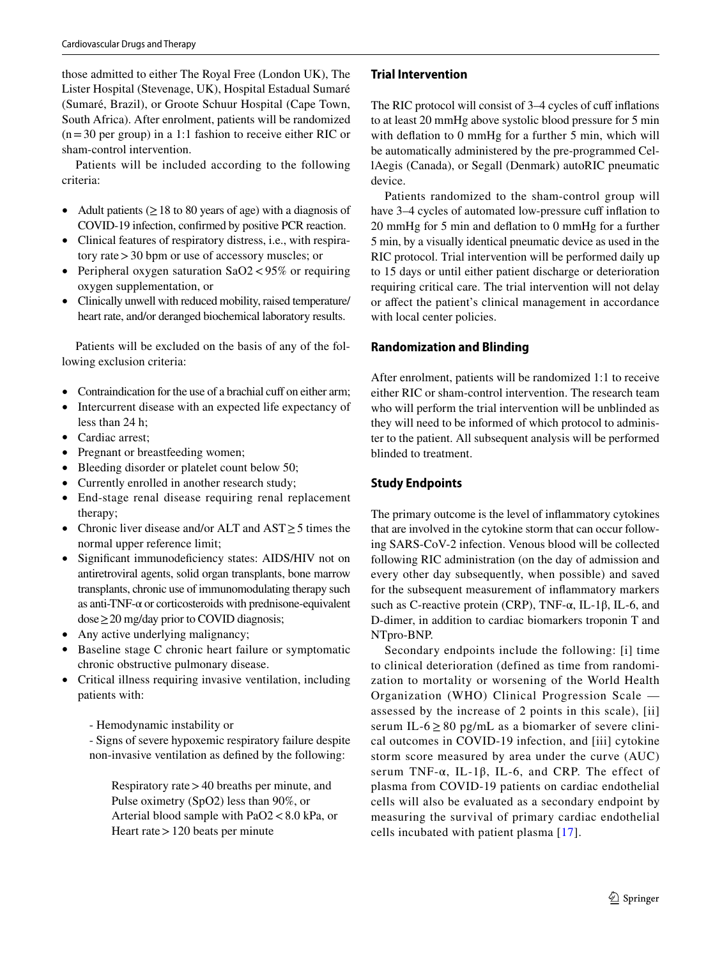those admitted to either The Royal Free (London UK), The Lister Hospital (Stevenage, UK), Hospital Estadual Sumaré (Sumaré, Brazil), or Groote Schuur Hospital (Cape Town, South Africa). After enrolment, patients will be randomized  $(n=30$  per group) in a 1:1 fashion to receive either RIC or sham-control intervention.

Patients will be included according to the following criteria:

- Adult patients ( $\geq$  18 to 80 years of age) with a diagnosis of COVID-19 infection, confrmed by positive PCR reaction.
- Clinical features of respiratory distress, i.e., with respiratory rate>30 bpm or use of accessory muscles; or
- Peripheral oxygen saturation SaO2 < 95% or requiring oxygen supplementation, or
- Clinically unwell with reduced mobility, raised temperature/ heart rate, and/or deranged biochemical laboratory results.

Patients will be excluded on the basis of any of the following exclusion criteria:

- Contraindication for the use of a brachial cuff on either arm;
- Intercurrent disease with an expected life expectancy of less than 24 h;
- Cardiac arrest;
- Pregnant or breastfeeding women;
- Bleeding disorder or platelet count below 50;
- Currently enrolled in another research study;
- End-stage renal disease requiring renal replacement therapy;
- Chronic liver disease and/or ALT and AST≥5 times the normal upper reference limit;
- Significant immunodeficiency states: AIDS/HIV not on antiretroviral agents, solid organ transplants, bone marrow transplants, chronic use of immunomodulating therapy such as anti-TNF-α or corticosteroids with prednisone-equivalent dose≥20 mg/day prior to COVID diagnosis;
- Any active underlying malignancy;
- Baseline stage C chronic heart failure or symptomatic chronic obstructive pulmonary disease.
- Critical illness requiring invasive ventilation, including patients with:
	- Hemodynamic instability or

- Signs of severe hypoxemic respiratory failure despite non-invasive ventilation as defned by the following:

Respiratory rate>40 breaths per minute, and Pulse oximetry (SpO2) less than 90%, or Arterial blood sample with PaO2<8.0 kPa, or Heart rate>120 beats per minute

# **Trial Intervention**

The RIC protocol will consist of 3–4 cycles of cuff inflations to at least 20 mmHg above systolic blood pressure for 5 min with defation to 0 mmHg for a further 5 min, which will be automatically administered by the pre-programmed CellAegis (Canada), or Segall (Denmark) autoRIC pneumatic device.

Patients randomized to the sham-control group will have 3–4 cycles of automated low-pressure cuff inflation to 20 mmHg for 5 min and defation to 0 mmHg for a further 5 min, by a visually identical pneumatic device as used in the RIC protocol. Trial intervention will be performed daily up to 15 days or until either patient discharge or deterioration requiring critical care. The trial intervention will not delay or affect the patient's clinical management in accordance with local center policies.

# **Randomization and Blinding**

After enrolment, patients will be randomized 1:1 to receive either RIC or sham-control intervention. The research team who will perform the trial intervention will be unblinded as they will need to be informed of which protocol to administer to the patient. All subsequent analysis will be performed blinded to treatment.

# **Study Endpoints**

The primary outcome is the level of infammatory cytokines that are involved in the cytokine storm that can occur following SARS-CoV-2 infection. Venous blood will be collected following RIC administration (on the day of admission and every other day subsequently, when possible) and saved for the subsequent measurement of infammatory markers such as C-reactive protein (CRP), TNF- $\alpha$ , IL-1 $\beta$ , IL-6, and D-dimer, in addition to cardiac biomarkers troponin T and NTpro-BNP.

Secondary endpoints include the following: [i] time to clinical deterioration (defined as time from randomization to mortality or worsening of the World Health Organization (WHO) Clinical Progression Scale assessed by the increase of 2 points in this scale), [ii] serum IL-6  $\geq$  80 pg/mL as a biomarker of severe clinical outcomes in COVID-19 infection, and [iii] cytokine storm score measured by area under the curve (AUC) serum TNF- $\alpha$ , IL-1 $\beta$ , IL-6, and CRP. The effect of plasma from COVID-19 patients on cardiac endothelial cells will also be evaluated as a secondary endpoint by measuring the survival of primary cardiac endothelial cells incubated with patient plasma [[17\]](#page-5-8).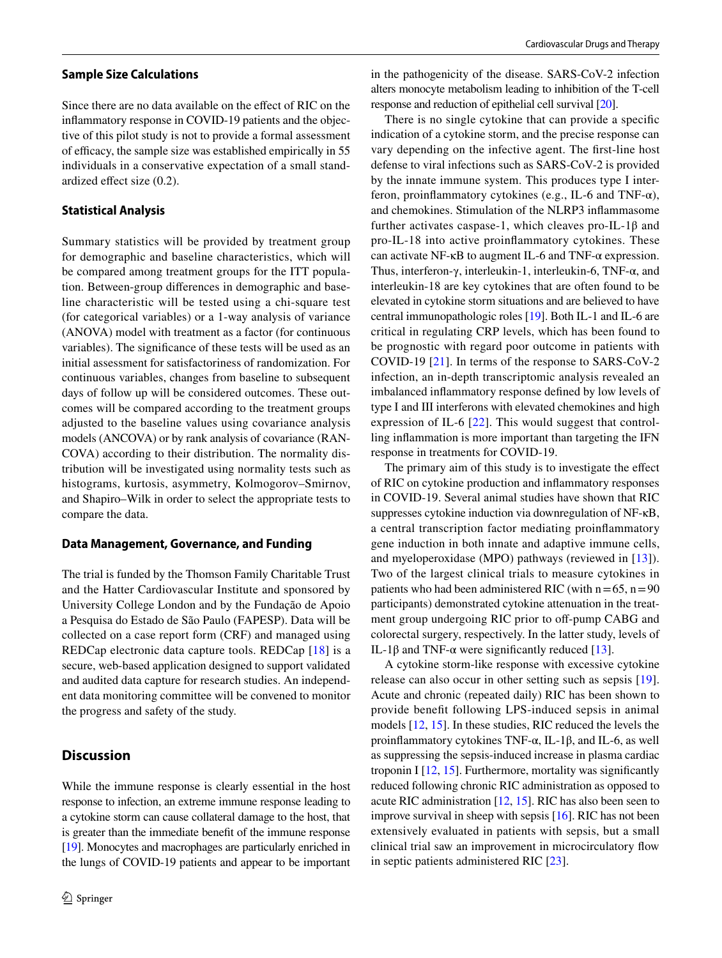#### **Sample Size Calculations**

Since there are no data available on the effect of RIC on the infammatory response in COVID-19 patients and the objective of this pilot study is not to provide a formal assessment of efficacy, the sample size was established empirically in 55 individuals in a conservative expectation of a small standardized efect size (0.2).

### **Statistical Analysis**

Summary statistics will be provided by treatment group for demographic and baseline characteristics, which will be compared among treatment groups for the ITT population. Between-group diferences in demographic and baseline characteristic will be tested using a chi-square test (for categorical variables) or a 1-way analysis of variance (ANOVA) model with treatment as a factor (for continuous variables). The signifcance of these tests will be used as an initial assessment for satisfactoriness of randomization. For continuous variables, changes from baseline to subsequent days of follow up will be considered outcomes. These outcomes will be compared according to the treatment groups adjusted to the baseline values using covariance analysis models (ANCOVA) or by rank analysis of covariance (RAN-COVA) according to their distribution. The normality distribution will be investigated using normality tests such as histograms, kurtosis, asymmetry, Kolmogorov–Smirnov, and Shapiro–Wilk in order to select the appropriate tests to compare the data.

#### **Data Management, Governance, and Funding**

The trial is funded by the Thomson Family Charitable Trust and the Hatter Cardiovascular Institute and sponsored by University College London and by the Fundação de Apoio a Pesquisa do Estado de São Paulo (FAPESP). Data will be collected on a case report form (CRF) and managed using REDCap electronic data capture tools. REDCap [[18](#page-5-9)] is a secure, web-based application designed to support validated and audited data capture for research studies. An independent data monitoring committee will be convened to monitor the progress and safety of the study.

# **Discussion**

While the immune response is clearly essential in the host response to infection, an extreme immune response leading to a cytokine storm can cause collateral damage to the host, that is greater than the immediate beneft of the immune response [\[19\]](#page-5-10). Monocytes and macrophages are particularly enriched in the lungs of COVID-19 patients and appear to be important in the pathogenicity of the disease. SARS-CoV-2 infection alters monocyte metabolism leading to inhibition of the T-cell response and reduction of epithelial cell survival [\[20\]](#page-5-11).

There is no single cytokine that can provide a specifc indication of a cytokine storm, and the precise response can vary depending on the infective agent. The frst-line host defense to viral infections such as SARS-CoV-2 is provided by the innate immune system. This produces type I interferon, proinflammatory cytokines (e.g., IL-6 and TNF- $\alpha$ ), and chemokines. Stimulation of the NLRP3 infammasome further activates caspase-1, which cleaves pro-IL-1 $\beta$  and pro-IL-18 into active proinfammatory cytokines. These can activate NF-κB to augment IL-6 and TNF-α expression. Thus, interferon-γ, interleukin-1, interleukin-6, TNF-α, and interleukin-18 are key cytokines that are often found to be elevated in cytokine storm situations and are believed to have central immunopathologic roles [[19](#page-5-10)]. Both IL-1 and IL-6 are critical in regulating CRP levels, which has been found to be prognostic with regard poor outcome in patients with COVID-19 [[21\]](#page-5-12). In terms of the response to SARS-CoV-2 infection, an in-depth transcriptomic analysis revealed an imbalanced infammatory response defned by low levels of type I and III interferons with elevated chemokines and high expression of IL-6 [[22](#page-5-13)]. This would suggest that controlling infammation is more important than targeting the IFN response in treatments for COVID-19.

The primary aim of this study is to investigate the effect of RIC on cytokine production and infammatory responses in COVID-19. Several animal studies have shown that RIC suppresses cytokine induction via downregulation of NF-κB, a central transcription factor mediating proinfammatory gene induction in both innate and adaptive immune cells, and myeloperoxidase (MPO) pathways (reviewed in [[13\]](#page-5-4)). Two of the largest clinical trials to measure cytokines in patients who had been administered RIC (with  $n=65$ ,  $n=90$ ) participants) demonstrated cytokine attenuation in the treatment group undergoing RIC prior to off-pump CABG and colorectal surgery, respectively. In the latter study, levels of IL-1β and TNF- $\alpha$  were significantly reduced [\[13](#page-5-4)].

A cytokine storm-like response with excessive cytokine release can also occur in other setting such as sepsis [\[19](#page-5-10)]. Acute and chronic (repeated daily) RIC has been shown to provide beneft following LPS-induced sepsis in animal models [[12,](#page-5-5) [15](#page-5-6)]. In these studies, RIC reduced the levels the proinfammatory cytokines TNF-α, IL-1β, and IL-6, as well as suppressing the sepsis-induced increase in plasma cardiac troponin I  $[12, 15]$  $[12, 15]$  $[12, 15]$  $[12, 15]$ . Furthermore, mortality was significantly reduced following chronic RIC administration as opposed to acute RIC administration [[12,](#page-5-5) [15](#page-5-6)]. RIC has also been seen to improve survival in sheep with sepsis [[16\]](#page-5-7). RIC has not been extensively evaluated in patients with sepsis, but a small clinical trial saw an improvement in microcirculatory fow in septic patients administered RIC [[23\]](#page-5-14).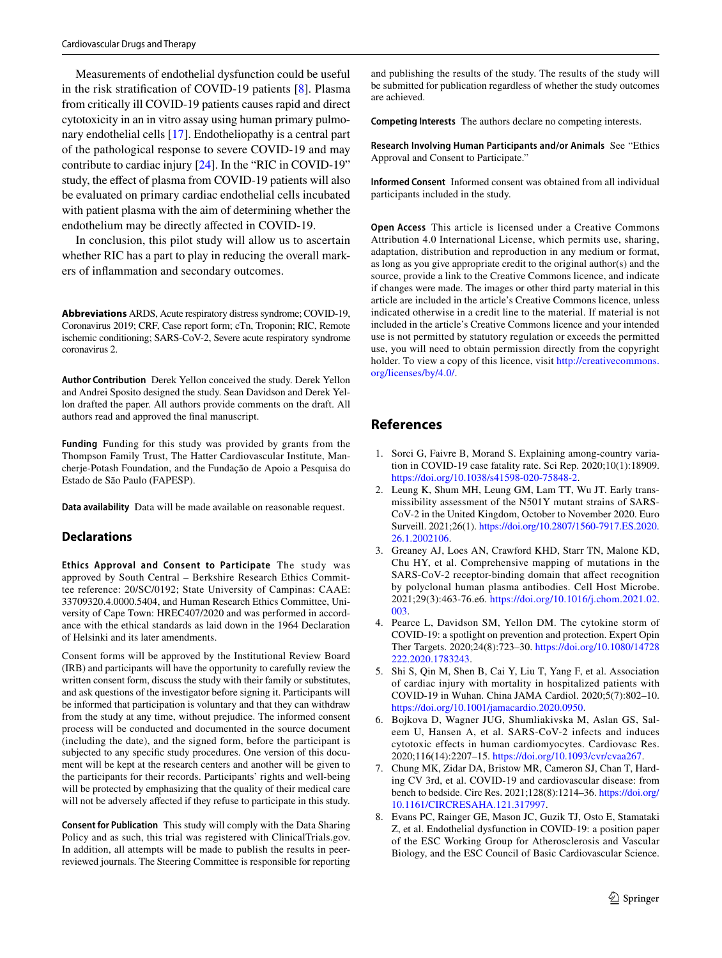Measurements of endothelial dysfunction could be useful in the risk stratifcation of COVID-19 patients [\[8](#page-4-7)]. Plasma from critically ill COVID-19 patients causes rapid and direct cytotoxicity in an in vitro assay using human primary pulmonary endothelial cells [[17\]](#page-5-8). Endotheliopathy is a central part of the pathological response to severe COVID-19 and may contribute to cardiac injury [\[24](#page-5-15)]. In the "RIC in COVID-19" study, the effect of plasma from COVID-19 patients will also be evaluated on primary cardiac endothelial cells incubated with patient plasma with the aim of determining whether the endothelium may be directly afected in COVID-19.

In conclusion, this pilot study will allow us to ascertain whether RIC has a part to play in reducing the overall markers of infammation and secondary outcomes.

**Abbreviations** ARDS, Acute respiratory distress syndrome; COVID-19, Coronavirus 2019; CRF, Case report form; cTn, Troponin; RIC, Remote ischemic conditioning; SARS-CoV-2, Severe acute respiratory syndrome coronavirus 2.

**Author Contribution** Derek Yellon conceived the study. Derek Yellon and Andrei Sposito designed the study. Sean Davidson and Derek Yellon drafted the paper. All authors provide comments on the draft. All authors read and approved the fnal manuscript.

**Funding** Funding for this study was provided by grants from the Thompson Family Trust, The Hatter Cardiovascular Institute, Mancherje-Potash Foundation, and the Fundação de Apoio a Pesquisa do Estado de São Paulo (FAPESP).

**Data availability** Data will be made available on reasonable request.

#### **Declarations**

**Ethics Approval and Consent to Participate** The study was approved by South Central – Berkshire Research Ethics Committee reference: 20/SC/0192; State University of Campinas: CAAE: 33709320.4.0000.5404, and Human Research Ethics Committee, University of Cape Town: HREC407/2020 and was performed in accordance with the ethical standards as laid down in the 1964 Declaration of Helsinki and its later amendments.

Consent forms will be approved by the Institutional Review Board (IRB) and participants will have the opportunity to carefully review the written consent form, discuss the study with their family or substitutes, and ask questions of the investigator before signing it. Participants will be informed that participation is voluntary and that they can withdraw from the study at any time, without prejudice. The informed consent process will be conducted and documented in the source document (including the date), and the signed form, before the participant is subjected to any specifc study procedures. One version of this document will be kept at the research centers and another will be given to the participants for their records. Participants' rights and well-being will be protected by emphasizing that the quality of their medical care will not be adversely afected if they refuse to participate in this study.

**Consent for Publication** This study will comply with the Data Sharing Policy and as such, this trial was registered with ClinicalTrials.gov. In addition, all attempts will be made to publish the results in peerreviewed journals. The Steering Committee is responsible for reporting

and publishing the results of the study. The results of the study will be submitted for publication regardless of whether the study outcomes are achieved.

**Competing Interests** The authors declare no competing interests.

**Research Involving Human Participants and/or Animals** See "Ethics Approval and Consent to Participate."

**Informed Consent** Informed consent was obtained from all individual participants included in the study.

**Open Access** This article is licensed under a Creative Commons Attribution 4.0 International License, which permits use, sharing, adaptation, distribution and reproduction in any medium or format, as long as you give appropriate credit to the original author(s) and the source, provide a link to the Creative Commons licence, and indicate if changes were made. The images or other third party material in this article are included in the article's Creative Commons licence, unless indicated otherwise in a credit line to the material. If material is not included in the article's Creative Commons licence and your intended use is not permitted by statutory regulation or exceeds the permitted use, you will need to obtain permission directly from the copyright holder. To view a copy of this licence, visit [http://creativecommons.](http://creativecommons.org/licenses/by/4.0/) [org/licenses/by/4.0/](http://creativecommons.org/licenses/by/4.0/).

### **References**

- <span id="page-4-0"></span>1. Sorci G, Faivre B, Morand S. Explaining among-country variation in COVID-19 case fatality rate. Sci Rep. 2020;10(1):18909. <https://doi.org/10.1038/s41598-020-75848-2>.
- <span id="page-4-1"></span>2. Leung K, Shum MH, Leung GM, Lam TT, Wu JT. Early transmissibility assessment of the N501Y mutant strains of SARS-CoV-2 in the United Kingdom, October to November 2020. Euro Surveill. 2021;26(1). [https://doi.org/10.2807/1560-7917.ES.2020.](https://doi.org/10.2807/1560-7917.ES.2020.26.1.2002106) [26.1.2002106](https://doi.org/10.2807/1560-7917.ES.2020.26.1.2002106).
- <span id="page-4-2"></span>3. Greaney AJ, Loes AN, Crawford KHD, Starr TN, Malone KD, Chu HY, et al. Comprehensive mapping of mutations in the SARS-CoV-2 receptor-binding domain that afect recognition by polyclonal human plasma antibodies. Cell Host Microbe. 2021;29(3):463-76.e6. [https://doi.org/10.1016/j.chom.2021.02.](https://doi.org/10.1016/j.chom.2021.02.003) [003](https://doi.org/10.1016/j.chom.2021.02.003).
- <span id="page-4-3"></span>4. Pearce L, Davidson SM, Yellon DM. The cytokine storm of COVID-19: a spotlight on prevention and protection. Expert Opin Ther Targets. 2020;24(8):723–30. [https://doi.org/10.1080/14728](https://doi.org/10.1080/14728222.2020.1783243) [222.2020.1783243.](https://doi.org/10.1080/14728222.2020.1783243)
- <span id="page-4-4"></span>5. Shi S, Qin M, Shen B, Cai Y, Liu T, Yang F, et al. Association of cardiac injury with mortality in hospitalized patients with COVID-19 in Wuhan. China JAMA Cardiol. 2020;5(7):802–10. <https://doi.org/10.1001/jamacardio.2020.0950>.
- <span id="page-4-5"></span>6. Bojkova D, Wagner JUG, Shumliakivska M, Aslan GS, Saleem U, Hansen A, et al. SARS-CoV-2 infects and induces cytotoxic effects in human cardiomyocytes. Cardiovasc Res. 2020;116(14):2207–15. [https://doi.org/10.1093/cvr/cvaa267.](https://doi.org/10.1093/cvr/cvaa267)
- <span id="page-4-6"></span>7. Chung MK, Zidar DA, Bristow MR, Cameron SJ, Chan T, Harding CV 3rd, et al. COVID-19 and cardiovascular disease: from bench to bedside. Circ Res. 2021;128(8):1214–36. [https://doi.org/](https://doi.org/10.1161/CIRCRESAHA.121.317997) [10.1161/CIRCRESAHA.121.317997](https://doi.org/10.1161/CIRCRESAHA.121.317997).
- <span id="page-4-7"></span>8. Evans PC, Rainger GE, Mason JC, Guzik TJ, Osto E, Stamataki Z, et al. Endothelial dysfunction in COVID-19: a position paper of the ESC Working Group for Atherosclerosis and Vascular Biology, and the ESC Council of Basic Cardiovascular Science.